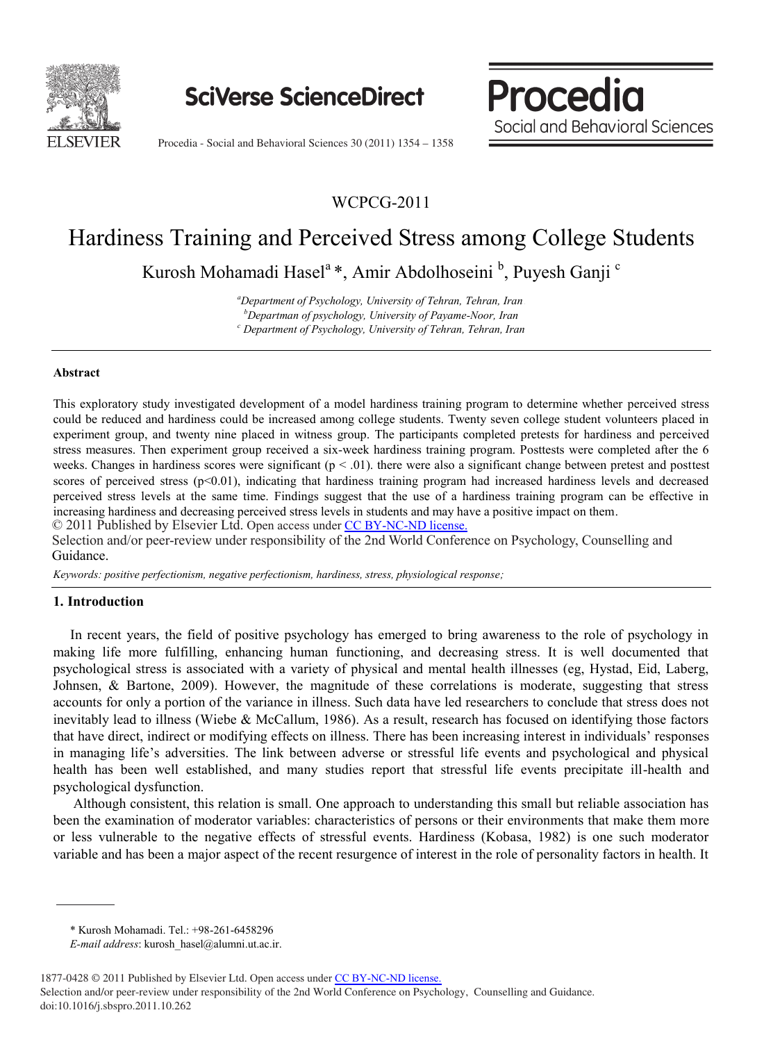

**SciVerse ScienceDirect** 

 $\mathbf{S}$ **Behavioral Social and Behavioral Sciences** 

**Procedia** 

Procedia - Social and Behavioral Sciences 30 (2011) 1354 – 1358

WCPCG-2011

# Hardiness Training and Perceived Stress among College Students

Kurosh Mohamadi Hasel<sup>a</sup> \*, Amir Abdolhoseini <sup>b</sup>, Puyesh Ganji <sup>c</sup>

*a Department of Psychology, University of Tehran, Tehran, Iran <sup>1</sup> b Departman of psychology, University of Payame-Noor, Iran <sup>c</sup> Department of Psychology, University of Tehran, Tehran, Iran* 

### **Abstract**

This exploratory study investigated development of a model hardiness training program to determine whether perceived stress could be reduced and hardiness could be increased among college students. Twenty seven college student volunteers placed in experiment group, and twenty nine placed in witness group. The participants completed pretests for hardiness and perceived stress measures. Then experiment group received a six-week hardiness training program. Posttests were completed after the 6 weeks. Changes in hardiness scores were significant  $(p < 0.01)$ , there were also a significant change between pretest and posttest scores of perceived stress ( $p<0.01$ ), indicating that hardiness training program had increased hardiness levels and decreased perceived stress levels at the same time. Findings suggest that the use of a hardiness training program can be effective in increasing hardiness and decreasing perceived stress levels in students and may have a positive impact on them.

© 2011 Published by Elsevier Ltd. © 2011 Published by Elsevier Ltd. Open access under [CC BY-NC-ND license.](http://creativecommons.org/licenses/by-nc-nd/3.0/) Selection and/or peer-review under responsibility of the 2nd World Conference on Psychology, Counselling and Guidance.

*Keywords: positive perfectionism, negative perfectionism, hardiness, stress, physiological response;* 

## **1. Introduction**

In recent years, the field of positive psychology has emerged to bring awareness to the role of psychology in making life more fulfilling, enhancing human functioning, and decreasing stress. It is well documented that psychological stress is associated with a variety of physical and mental health illnesses (eg, Hystad, Eid, Laberg, Johnsen, & Bartone, 2009). However, the magnitude of these correlations is moderate, suggesting that stress accounts for only a portion of the variance in illness. Such data have led researchers to conclude that stress does not inevitably lead to illness (Wiebe & McCallum, 1986). As a result, research has focused on identifying those factors that have direct, indirect or modifying effects on illness. There has been increasing interest in individuals' responses in managing life's adversities. The link between adverse or stressful life events and psychological and physical health has been well established, and many studies report that stressful life events precipitate ill-health and psychological dysfunction.

Although consistent, this relation is small. One approach to understanding this small but reliable association has been the examination of moderator variables: characteristics of persons or their environments that make them more or less vulnerable to the negative effects of stressful events. Hardiness (Kobasa, 1982) is one such moderator variable and has been a major aspect of the recent resurgence of interest in the role of personality factors in health. It

<sup>\*</sup> Kurosh Mohamadi. Tel.: +98-261-6458296

*E-mail address*: kurosh\_hasel@alumni.ut.ac.ir.

<sup>1877-0428 © 2011</sup> Published by Elsevier Ltd. Open access under [CC BY-NC-ND license.](http://creativecommons.org/licenses/by-nc-nd/3.0/)

Selection and/or peer-review under responsibility of the 2nd World Conference on Psychology, Counselling and Guidance. doi:10.1016/j.sbspro.2011.10.262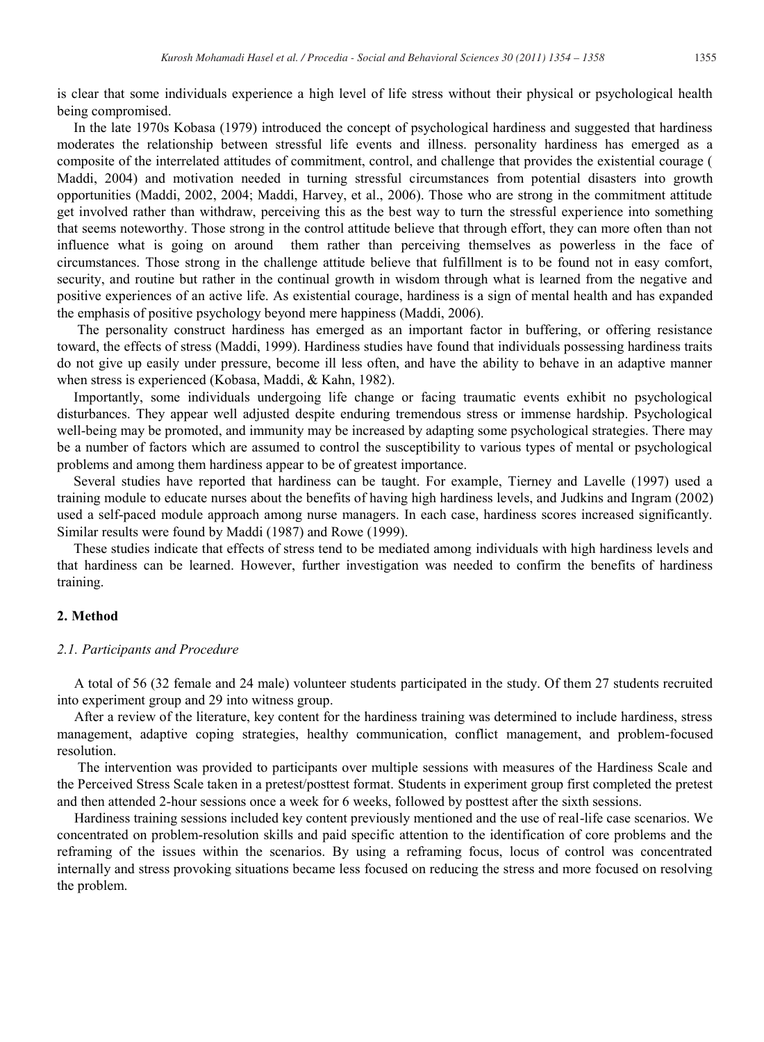is clear that some individuals experience a high level of life stress without their physical or psychological health being compromised.

In the late 1970s Kobasa (1979) introduced the concept of psychological hardiness and suggested that hardiness moderates the relationship between stressful life events and illness. personality hardiness has emerged as a composite of the interrelated attitudes of commitment, control, and challenge that provides the existential courage ( Maddi, 2004) and motivation needed in turning stressful circumstances from potential disasters into growth opportunities (Maddi, 2002, 2004; Maddi, Harvey, et al., 2006). Those who are strong in the commitment attitude get involved rather than withdraw, perceiving this as the best way to turn the stressful experience into something that seems noteworthy. Those strong in the control attitude believe that through effort, they can more often than not influence what is going on around them rather than perceiving themselves as powerless in the face of circumstances. Those strong in the challenge attitude believe that fulfillment is to be found not in easy comfort, security, and routine but rather in the continual growth in wisdom through what is learned from the negative and positive experiences of an active life. As existential courage, hardiness is a sign of mental health and has expanded the emphasis of positive psychology beyond mere happiness (Maddi, 2006).

The personality construct hardiness has emerged as an important factor in buffering, or offering resistance toward, the effects of stress (Maddi, 1999). Hardiness studies have found that individuals possessing hardiness traits do not give up easily under pressure, become ill less often, and have the ability to behave in an adaptive manner when stress is experienced (Kobasa, Maddi, & Kahn, 1982).

Importantly, some individuals undergoing life change or facing traumatic events exhibit no psychological disturbances. They appear well adjusted despite enduring tremendous stress or immense hardship. Psychological well-being may be promoted, and immunity may be increased by adapting some psychological strategies. There may be a number of factors which are assumed to control the susceptibility to various types of mental or psychological problems and among them hardiness appear to be of greatest importance.

Several studies have reported that hardiness can be taught. For example, Tierney and Lavelle (1997) used a training module to educate nurses about the benefits of having high hardiness levels, and Judkins and Ingram (2002) used a self-paced module approach among nurse managers. In each case, hardiness scores increased significantly. Similar results were found by Maddi (1987) and Rowe (1999).

These studies indicate that effects of stress tend to be mediated among individuals with high hardiness levels and that hardiness can be learned. However, further investigation was needed to confirm the benefits of hardiness training.

## **2. Method**

#### *2.1. Participants and Procedure*

A total of 56 (32 female and 24 male) volunteer students participated in the study. Of them 27 students recruited into experiment group and 29 into witness group.

After a review of the literature, key content for the hardiness training was determined to include hardiness, stress management, adaptive coping strategies, healthy communication, conflict management, and problem-focused resolution.

The intervention was provided to participants over multiple sessions with measures of the Hardiness Scale and the Perceived Stress Scale taken in a pretest/posttest format. Students in experiment group first completed the pretest and then attended 2-hour sessions once a week for 6 weeks, followed by posttest after the sixth sessions.

Hardiness training sessions included key content previously mentioned and the use of real-life case scenarios. We concentrated on problem-resolution skills and paid specific attention to the identification of core problems and the reframing of the issues within the scenarios. By using a reframing focus, locus of control was concentrated internally and stress provoking situations became less focused on reducing the stress and more focused on resolving the problem.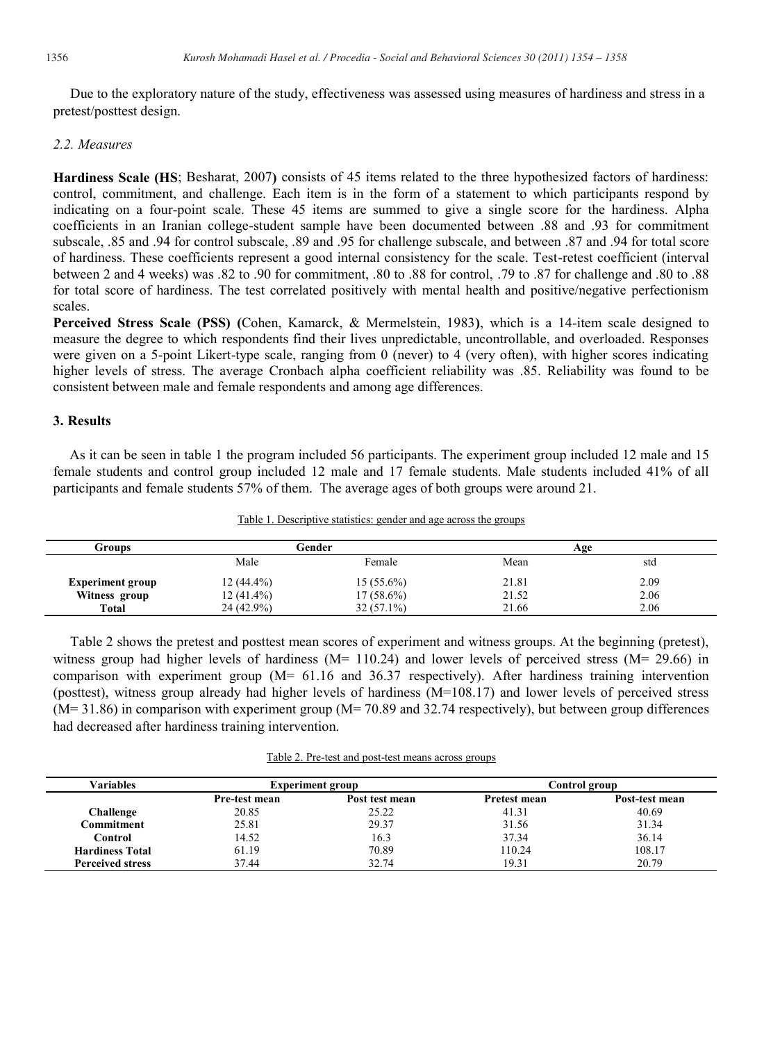Due to the exploratory nature of the study, effectiveness was assessed using measures of hardiness and stress in a pretest/posttest design.

## *2.2. Measures*

**Hardiness Scale (HS**; Besharat, 2007**)** consists of 45 items related to the three hypothesized factors of hardiness: control, commitment, and challenge. Each item is in the form of a statement to which participants respond by indicating on a four-point scale. These 45 items are summed to give a single score for the hardiness. Alpha coefficients in an Iranian college-student sample have been documented between .88 and .93 for commitment subscale, .85 and .94 for control subscale, .89 and .95 for challenge subscale, and between .87 and .94 for total score of hardiness. These coefficients represent a good internal consistency for the scale. Test-retest coefficient (interval between 2 and 4 weeks) was .82 to .90 for commitment, .80 to .88 for control, .79 to .87 for challenge and .80 to .88 for total score of hardiness. The test correlated positively with mental health and positive/negative perfectionism scales.

**Perceived Stress Scale (PSS) (**Cohen, Kamarck, & Mermelstein, 1983**)**, which is a 14-item scale designed to measure the degree to which respondents find their lives unpredictable, uncontrollable, and overloaded. Responses were given on a 5-point Likert-type scale, ranging from 0 (never) to 4 (very often), with higher scores indicating higher levels of stress. The average Cronbach alpha coefficient reliability was .85. Reliability was found to be consistent between male and female respondents and among age differences.

# **3. Results**

As it can be seen in table 1 the program included 56 participants. The experiment group included 12 male and 15 female students and control group included 12 male and 17 female students. Male students included 41% of all participants and female students 57% of them. The average ages of both groups were around 21.

Table 1. Descriptive statistics: gender and age across the groups

| Groups                  | Gender       |              | Age   |      |  |
|-------------------------|--------------|--------------|-------|------|--|
|                         | Male         | Female       | Mean  | std  |  |
| <b>Experiment group</b> | $12(44.4\%)$ | $15(55.6\%)$ | 21.81 | 2.09 |  |
| Witness group           | $12(41.4\%)$ | $17(58.6\%)$ | 21.52 | 2.06 |  |
| <b>Total</b>            | 24 (42.9%)   | $32(57.1\%)$ | 21.66 | 2.06 |  |

Table 2 shows the pretest and posttest mean scores of experiment and witness groups. At the beginning (pretest), witness group had higher levels of hardiness ( $M = 110.24$ ) and lower levels of perceived stress ( $M = 29.66$ ) in comparison with experiment group (M= 61.16 and 36.37 respectively). After hardiness training intervention (posttest), witness group already had higher levels of hardiness  $(M=108.17)$  and lower levels of perceived stress (M= 31.86) in comparison with experiment group (M= 70.89 and 32.74 respectively), but between group differences had decreased after hardiness training intervention.

Table 2. Pre-test and post-test means across groups

| <b>Variables</b>        | <b>Experiment group</b> |                | Control group       |                |  |
|-------------------------|-------------------------|----------------|---------------------|----------------|--|
|                         | Pre-test mean           | Post test mean | <b>Pretest mean</b> | Post-test mean |  |
| <b>Challenge</b>        | 20.85                   | 25.22          | 41.31               | 40.69          |  |
| Commitment              | 25.81                   | 29.37          | 31.56               | 31.34          |  |
| Control                 | 14.52                   | 16.3           | 37.34               | 36.14          |  |
| <b>Hardiness Total</b>  | 61.19                   | 70.89          | 110.24              | 108.17         |  |
| <b>Perceived stress</b> | 37.44                   | 32.74          | 19.31               | 20.79          |  |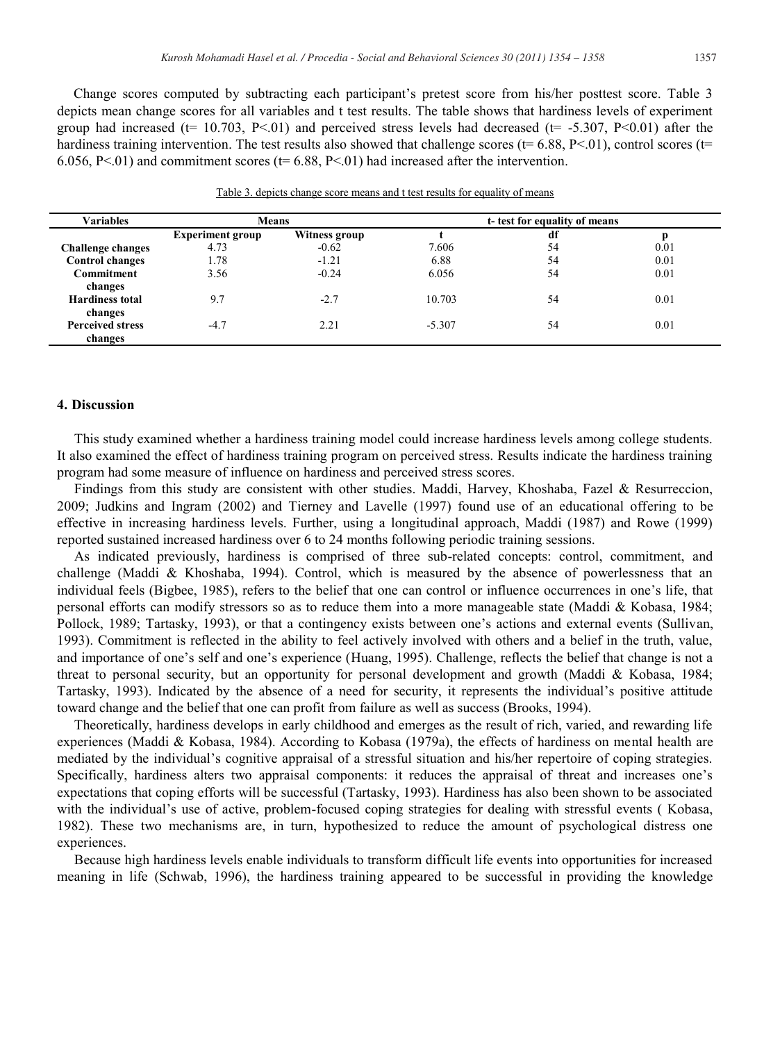Change scores computed by subtracting each participant's pretest score from his/her posttest score. Table 3 depicts mean change scores for all variables and t test results. The table shows that hardiness levels of experiment group had increased ( $t= 10.703$ , P<0.01) and perceived stress levels had decreased ( $t= -5.307$ , P<0.01) after the hardiness training intervention. The test results also showed that challenge scores ( $t= 6.88$ ,  $P< 01$ ), control scores ( $t=$ 6.056, P<.01) and commitment scores ( $t= 6.88$ , P<.01) had increased after the intervention.

| <b>Variables</b>         | <b>Means</b>            |                      | t-test for equality of means |    |      |  |
|--------------------------|-------------------------|----------------------|------------------------------|----|------|--|
|                          | <b>Experiment group</b> | <b>Witness group</b> |                              | df |      |  |
| <b>Challenge changes</b> | 4.73                    | $-0.62$              | 7.606                        | 54 | 0.01 |  |
| <b>Control changes</b>   | 1.78                    | $-1.21$              | 6.88                         | 54 | 0.01 |  |
| <b>Commitment</b>        | 3.56                    | $-0.24$              | 6.056                        | 54 | 0.01 |  |
| changes                  |                         |                      |                              |    |      |  |
| <b>Hardiness total</b>   | 9.7                     | $-2.7$               | 10.703                       | 54 | 0.01 |  |
| changes                  |                         |                      |                              |    |      |  |
| <b>Perceived stress</b>  | $-4.7$                  | 2.21                 | $-5.307$                     | 54 | 0.01 |  |
| changes                  |                         |                      |                              |    |      |  |

|  | Table 3, depicts change score means and t test results for equality of means |  |  |  |
|--|------------------------------------------------------------------------------|--|--|--|
|  |                                                                              |  |  |  |

## **4. Discussion**

This study examined whether a hardiness training model could increase hardiness levels among college students. It also examined the effect of hardiness training program on perceived stress. Results indicate the hardiness training program had some measure of influence on hardiness and perceived stress scores.

Findings from this study are consistent with other studies. Maddi, Harvey, Khoshaba, Fazel & Resurreccion, 2009; Judkins and Ingram (2002) and Tierney and Lavelle (1997) found use of an educational offering to be effective in increasing hardiness levels. Further, using a longitudinal approach, Maddi (1987) and Rowe (1999) reported sustained increased hardiness over 6 to 24 months following periodic training sessions.

As indicated previously, hardiness is comprised of three sub-related concepts: control, commitment, and challenge (Maddi & Khoshaba, 1994). Control, which is measured by the absence of powerlessness that an individual feels (Bigbee, 1985), refers to the belief that one can control or influence occurrences in one's life, that personal efforts can modify stressors so as to reduce them into a more manageable state (Maddi & Kobasa, 1984; Pollock, 1989; Tartasky, 1993), or that a contingency exists between one's actions and external events (Sullivan, 1993). Commitment is reflected in the ability to feel actively involved with others and a belief in the truth, value, and importance of one's self and one's experience (Huang, 1995). Challenge, reflects the belief that change is not a threat to personal security, but an opportunity for personal development and growth (Maddi & Kobasa, 1984; Tartasky, 1993). Indicated by the absence of a need for security, it represents the individual's positive attitude toward change and the belief that one can profit from failure as well as success (Brooks, 1994).

Theoretically, hardiness develops in early childhood and emerges as the result of rich, varied, and rewarding life experiences (Maddi & Kobasa, 1984). According to Kobasa (1979a), the effects of hardiness on mental health are mediated by the individual's cognitive appraisal of a stressful situation and his/her repertoire of coping strategies. Specifically, hardiness alters two appraisal components: it reduces the appraisal of threat and increases one's expectations that coping efforts will be successful (Tartasky, 1993). Hardiness has also been shown to be associated with the individual's use of active, problem-focused coping strategies for dealing with stressful events ( Kobasa, 1982). These two mechanisms are, in turn, hypothesized to reduce the amount of psychological distress one experiences.

Because high hardiness levels enable individuals to transform difficult life events into opportunities for increased meaning in life (Schwab, 1996), the hardiness training appeared to be successful in providing the knowledge